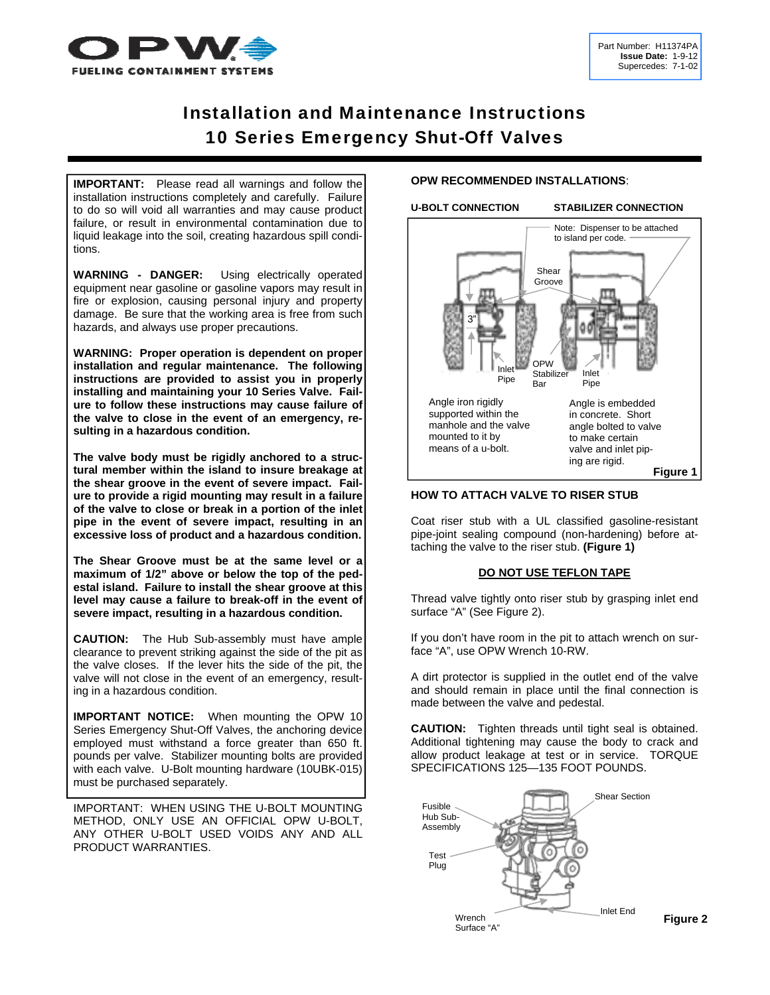

# Installation and Maintenance Instructions 10 Series Emergency Shut-Off Valves

**IMPORTANT:** Please read all warnings and follow the installation instructions completely and carefully. Failure to do so will void all warranties and may cause product failure, or result in environmental contamination due to liquid leakage into the soil, creating hazardous spill conditions.

**WARNING - DANGER:** Using electrically operated equipment near gasoline or gasoline vapors may result in fire or explosion, causing personal injury and property damage. Be sure that the working area is free from such hazards, and always use proper precautions.

**WARNING: Proper operation is dependent on proper installation and regular maintenance. The following instructions are provided to assist you in properly installing and maintaining your 10 Series Valve. Failure to follow these instructions may cause failure of the valve to close in the event of an emergency, resulting in a hazardous condition.** 

**The valve body must be rigidly anchored to a structural member within the island to insure breakage at the shear groove in the event of severe impact. Failure to provide a rigid mounting may result in a failure of the valve to close or break in a portion of the inlet pipe in the event of severe impact, resulting in an excessive loss of product and a hazardous condition.** 

**The Shear Groove must be at the same level or a maximum of 1/2" above or below the top of the pedestal island. Failure to install the shear groove at this level may cause a failure to break-off in the event of severe impact, resulting in a hazardous condition.** 

**CAUTION:** The Hub Sub-assembly must have ample clearance to prevent striking against the side of the pit as the valve closes. If the lever hits the side of the pit, the valve will not close in the event of an emergency, resulting in a hazardous condition.

**IMPORTANT NOTICE:** When mounting the OPW 10 Series Emergency Shut-Off Valves, the anchoring device employed must withstand a force greater than 650 ft. pounds per valve. Stabilizer mounting bolts are provided with each valve. U-Bolt mounting hardware (10UBK-015) must be purchased separately.

IMPORTANT: WHEN USING THE U-BOLT MOUNTING METHOD, ONLY USE AN OFFICIAL OPW U-BOLT, ANY OTHER U-BOLT USED VOIDS ANY AND ALL PRODUCT WARRANTIES.

# **OPW RECOMMENDED INSTALLATIONS**:

**U-BOLT CONNECTION STABILIZER CONNECTION** 



#### **HOW TO ATTACH VALVE TO RISER STUB**

Coat riser stub with a UL classified gasoline-resistant pipe-joint sealing compound (non-hardening) before attaching the valve to the riser stub. **(Figure 1)** 

# **DO NOT USE TEFLON TAPE**

Thread valve tightly onto riser stub by grasping inlet end surface "A" (See Figure 2).

If you don't have room in the pit to attach wrench on surface "A", use OPW Wrench 10-RW.

A dirt protector is supplied in the outlet end of the valve and should remain in place until the final connection is made between the valve and pedestal.

**CAUTION:** Tighten threads until tight seal is obtained. Additional tightening may cause the body to crack and allow product leakage at test or in service. TORQUE SPECIFICATIONS 125—135 FOOT POUNDS.

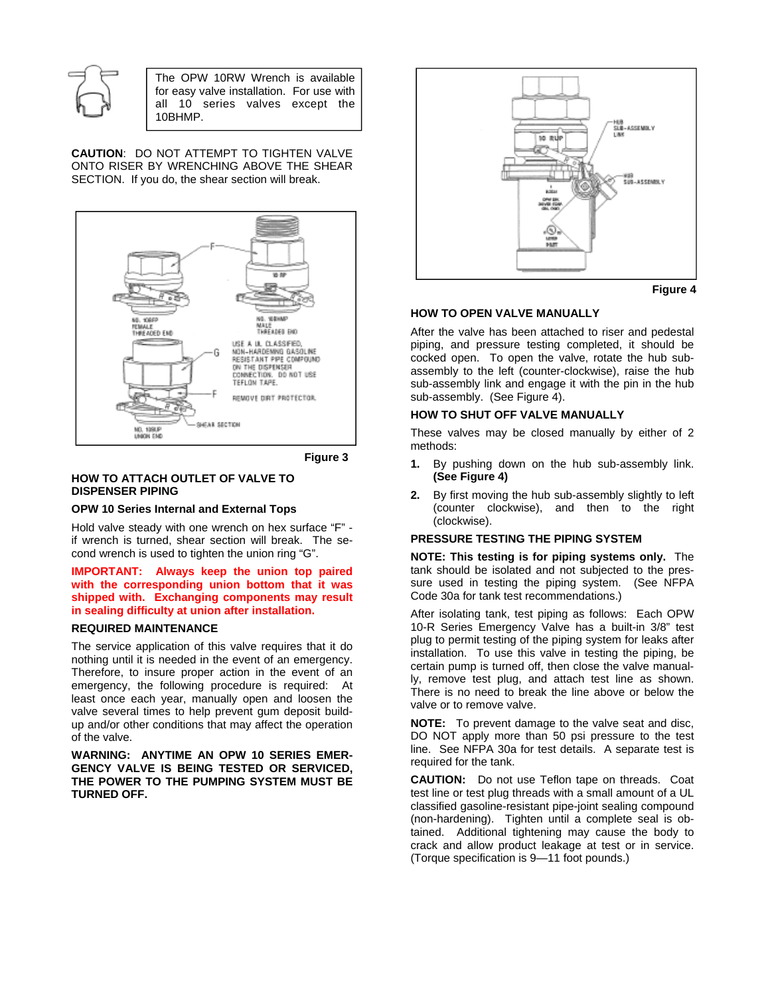

The OPW 10RW Wrench is available for easy valve installation. For use with all 10 series valves except the 10BHMP.

**CAUTION**: DO NOT ATTEMPT TO TIGHTEN VALVE ONTO RISER BY WRENCHING ABOVE THE SHEAR SECTION. If you do, the shear section will break.



**Figure 3**

# **HOW TO ATTACH OUTLET OF VALVE TO DISPENSER PIPING**

# **OPW 10 Series Internal and External Tops**

Hold valve steady with one wrench on hex surface "F" if wrench is turned, shear section will break. The second wrench is used to tighten the union ring "G".

#### **IMPORTANT: Always keep the union top paired with the corresponding union bottom that it was shipped with. Exchanging components may result in sealing difficulty at union after installation.**

# **REQUIRED MAINTENANCE**

The service application of this valve requires that it do nothing until it is needed in the event of an emergency. Therefore, to insure proper action in the event of an emergency, the following procedure is required: At least once each year, manually open and loosen the valve several times to help prevent gum deposit buildup and/or other conditions that may affect the operation of the valve.

**WARNING: ANYTIME AN OPW 10 SERIES EMER-GENCY VALVE IS BEING TESTED OR SERVICED, THE POWER TO THE PUMPING SYSTEM MUST BE TURNED OFF.** 



**Figure 4**

#### **HOW TO OPEN VALVE MANUALLY**

After the valve has been attached to riser and pedestal piping, and pressure testing completed, it should be cocked open. To open the valve, rotate the hub subassembly to the left (counter-clockwise), raise the hub sub-assembly link and engage it with the pin in the hub sub-assembly. (See Figure 4).

# **HOW TO SHUT OFF VALVE MANUALLY**

These valves may be closed manually by either of 2 methods:

- **1.** By pushing down on the hub sub-assembly link. **(See Figure 4)**
- **2.** By first moving the hub sub-assembly slightly to left (counter clockwise), and then to the right (clockwise).

# **PRESSURE TESTING THE PIPING SYSTEM**

**NOTE: This testing is for piping systems only.** The tank should be isolated and not subjected to the pressure used in testing the piping system. (See NFPA Code 30a for tank test recommendations.)

After isolating tank, test piping as follows: Each OPW 10-R Series Emergency Valve has a built-in 3/8" test plug to permit testing of the piping system for leaks after installation. To use this valve in testing the piping, be certain pump is turned off, then close the valve manually, remove test plug, and attach test line as shown. There is no need to break the line above or below the valve or to remove valve.

**NOTE:** To prevent damage to the valve seat and disc, DO NOT apply more than 50 psi pressure to the test line. See NFPA 30a for test details. A separate test is required for the tank.

**CAUTION:** Do not use Teflon tape on threads. Coat test line or test plug threads with a small amount of a UL classified gasoline-resistant pipe-joint sealing compound (non-hardening). Tighten until a complete seal is obtained. Additional tightening may cause the body to crack and allow product leakage at test or in service. (Torque specification is 9—11 foot pounds.)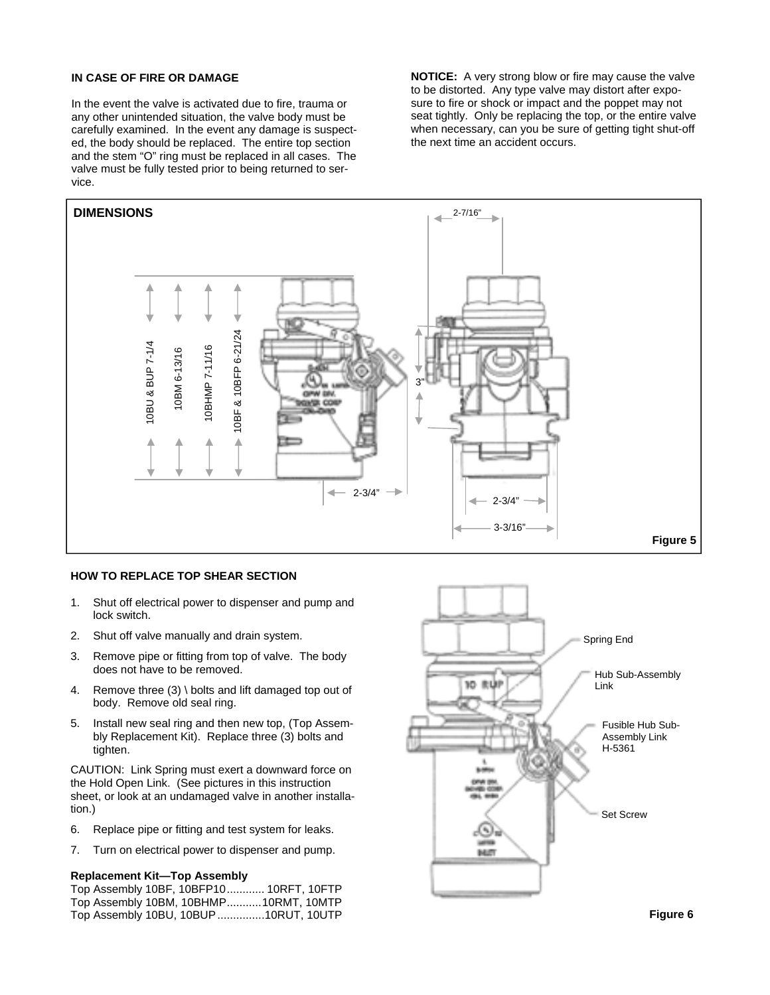# **IN CASE OF FIRE OR DAMAGE**

In the event the valve is activated due to fire, trauma or any other unintended situation, the valve body must be carefully examined. In the event any damage is suspected, the body should be replaced. The entire top section and the stem "O" ring must be replaced in all cases. The valve must be fully tested prior to being returned to service.

**NOTICE:** A very strong blow or fire may cause the valve to be distorted. Any type valve may distort after exposure to fire or shock or impact and the poppet may not seat tightly. Only be replacing the top, or the entire valve when necessary, can you be sure of getting tight shut-off the next time an accident occurs.



#### **HOW TO REPLACE TOP SHEAR SECTION**

- 1. Shut off electrical power to dispenser and pump and lock switch.
- 2. Shut off valve manually and drain system.
- 3. Remove pipe or fitting from top of valve. The body does not have to be removed.
- 4. Remove three (3) \ bolts and lift damaged top out of body. Remove old seal ring.
- 5. Install new seal ring and then new top, (Top Assembly Replacement Kit). Replace three (3) bolts and tighten.

CAUTION: Link Spring must exert a downward force on the Hold Open Link. (See pictures in this instruction sheet, or look at an undamaged valve in another installation.)

- 6. Replace pipe or fitting and test system for leaks.
- 7. Turn on electrical power to dispenser and pump.

# **Replacement Kit—Top Assembly**

Top Assembly 10BF, 10BFP10 ............ 10RFT, 10FTP Top Assembly 10BM, 10BHMP ........... 10RMT, 10MTP



**Figure 6**